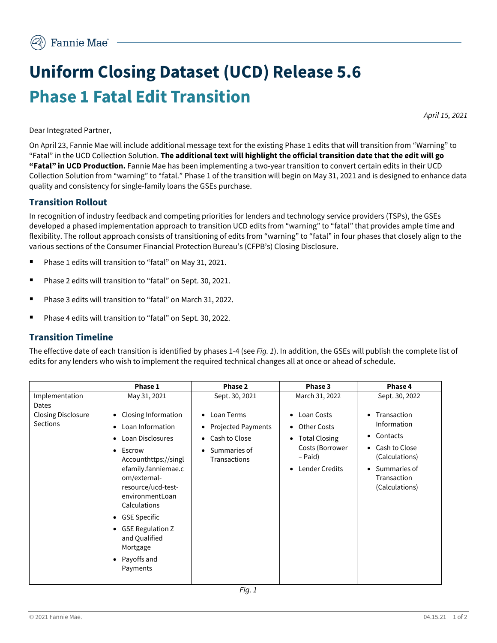# **Uniform Closing Dataset (UCD) Release 5.6 Phase 1 Fatal Edit Transition**

*April 15, 2021*

Dear Integrated Partner,

On April 23, Fannie Mae will include additional message text for the existing Phase 1 edits that will transition from "Warning" to "Fatal" in the UCD Collection Solution. **The additional text will highlight the official transition date that the edit will go "Fatal" in UCD Production.** Fannie Mae has been implementing a two-year transition to convert certain edits in their UCD Collection Solution from "warning" to "fatal." Phase 1 of the transition will begin on May 31, 2021 and is designed to enhance data quality and consistency for single-family loans the GSEs purchase.

### **Transition Rollout**

In recognition of industry feedback and competing priorities for lenders and technology service providers (TSPs), the GSEs developed a phased implementation approach to transition UCD edits from "warning" to "fatal" that provides ample time and flexibility. The rollout approach consists of transitioning of edits from "warning" to "fatal" in four phases that closely align to the various sections of the Consumer Financial Protection Bureau's (CFPB's) Closing Disclosure.

- Phase 1 edits will transition to "fatal" on May 31, 2021.
- Phase 2 edits will transition to "fatal" on Sept. 30, 2021.
- Phase 3 edits will transition to "fatal" on March 31, 2022.
- Phase 4 edits will transition to "fatal" on Sept. 30, 2022.

#### **Transition Timeline**

The effective date of each transition is identified by phases 1-4 (see *Fig. 1*). In addition, the GSEs will publish the complete list of edits for any lenders who wish to implement the required technical changes all at once or ahead of schedule.

|                                              | Phase 1                                                                                                                                                                                                                                                                                                                | Phase 2                                                                                                              | Phase 3                                                                                                                            | Phase 4                                                                                                                           |
|----------------------------------------------|------------------------------------------------------------------------------------------------------------------------------------------------------------------------------------------------------------------------------------------------------------------------------------------------------------------------|----------------------------------------------------------------------------------------------------------------------|------------------------------------------------------------------------------------------------------------------------------------|-----------------------------------------------------------------------------------------------------------------------------------|
| Implementation<br>Dates                      | May 31, 2021                                                                                                                                                                                                                                                                                                           | Sept. 30, 2021                                                                                                       | March 31, 2022                                                                                                                     | Sept. 30, 2022                                                                                                                    |
| <b>Closing Disclosure</b><br><b>Sections</b> | Closing Information<br>Loan Information<br>Loan Disclosures<br>٠<br>Escrow<br>٠<br>Accounthttps://singl<br>efamily.fanniemae.c<br>om/external-<br>resource/ucd-test-<br>environmentLoan<br>Calculations<br>• GSE Specific<br><b>GSE Regulation Z</b><br>and Qualified<br>Mortgage<br>$\bullet$ Payoffs and<br>Payments | Loan Terms<br>$\bullet$<br><b>Projected Payments</b><br>$\bullet$<br>• Cash to Close<br>Summaries of<br>Transactions | Loan Costs<br>$\bullet$<br>Other Costs<br>$\bullet$<br>• Total Closing<br>Costs (Borrower<br>– Paid)<br><b>Lender Credits</b><br>٠ | Transaction<br>Information<br>• Contacts<br>Cash to Close<br>(Calculations)<br>Summaries of<br>٠<br>Transaction<br>(Calculations) |